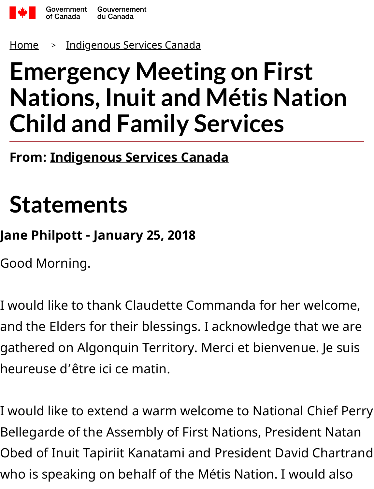

Home <sup>&</sup>gt; Indigenous Services Canada

## **Emergency Meeting on First Nations, Inuit and Métis Nation Chi[ld and Family Ser](https://www.canada.ca/en/indigenous-services-canada.html)vices**

**From: Indigenous Services Canada**

## **Statements**

## **Jane Philpott - January 25, 2018**

Good Morning.

I would like to thank Claudette Commanda for her welcome, and the Elders for their blessings. I acknowledge that we are gathered on Algonquin Territory. Merci et bienvenue. Je suis heureuse d'être ici ce matin.

I would like to extend a warm welcome to National Chief Perry Bellegarde of the Assembly of First Nations, President Natan Obed of Inuit Tapiriit Kanatami and President David Chartrand who is speaking on behalf of the Métis Nation. I would also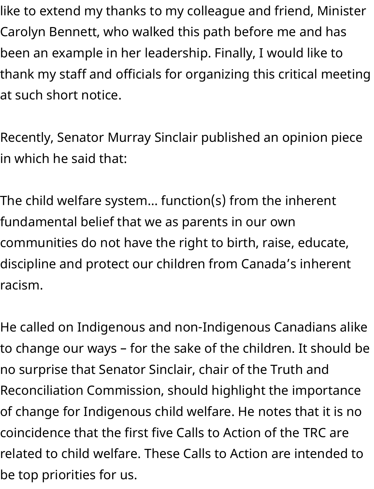like to extend my thanks to my colleague and friend, Minister Carolyn Bennett, who walked this path before me and has been an example in her leadership. Finally, I would like to thank my staff and officials for organizing this critical meeting at such short notice.

Recently, Senator Murray Sinclair published an opinion piece in which he said that:

The child welfare system… function(s) from the inherent fundamental belief that we as parents in our own communities do not have the right to birth, raise, educate, discipline and protect our children from Canada's inherent racism.

He called on Indigenous and non-Indigenous Canadians alike to change our ways – for the sake of the children. It should be no surprise that Senator Sinclair, chair of the Truth and Reconciliation Commission, should highlight the importance of change for Indigenous child welfare. He notes that it is no coincidence that the first five Calls to Action of the TRC are related to child welfare. These Calls to Action are intended to be top priorities for us.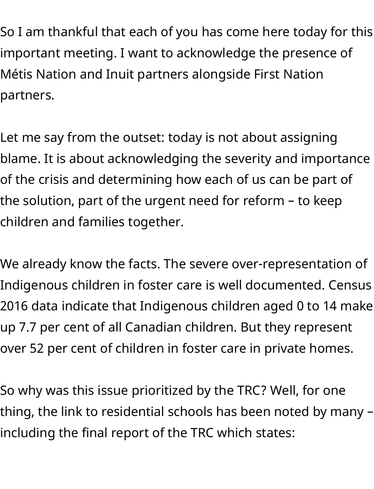So I am thankful that each of you has come here today for this important meeting. I want to acknowledge the presence of Métis Nation and Inuit partners alongside First Nation partners.

Let me say from the outset: today is not about assigning blame. It is about acknowledging the severity and importance of the crisis and determining how each of us can be part of the solution, part of the urgent need for reform – to keep children and families together.

We already know the facts. The severe over-representation of Indigenous children in foster care is well documented. Census 2016 data indicate that Indigenous children aged 0 to 14 make up 7.7 per cent of all Canadian children. But they represent over 52 per cent of children in foster care in private homes.

So why was this issue prioritized by the TRC? Well, for one thing, the link to residential schools has been noted by many – including the final report of the TRC which states: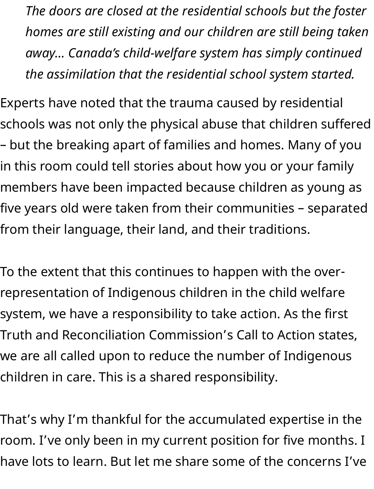*The doors are closed at the residential schools but the foster homes are still existing and our children are still being taken away… Canada's child-welfare system has simply continued the assimilation that the residential school system started.*

Experts have noted that the trauma caused by residential schools was not only the physical abuse that children suffered – but the breaking apart of families and homes. Many of you in this room could tell stories about how you or your family members have been impacted because children as young as five years old were taken from their communities – separated from their language, their land, and their traditions.

To the extent that this continues to happen with the overrepresentation of Indigenous children in the child welfare system, we have a responsibility to take action. As the first Truth and Reconciliation Commission's Call to Action states, we are all called upon to reduce the number of Indigenous children in care. This is a shared responsibility.

That's why I'm thankful for the accumulated expertise in the room. I've only been in my current position for five months. I have lots to learn. But let me share some of the concerns I've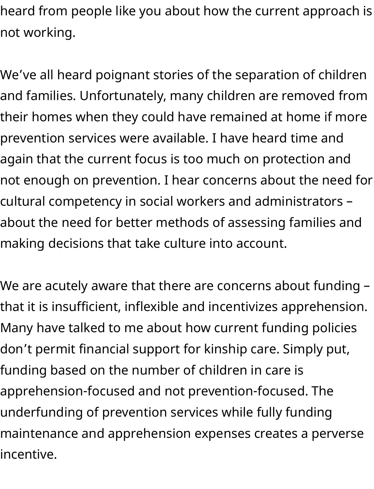heard from people like you about how the current approach is not working.

We've all heard poignant stories of the separation of children and families. Unfortunately, many children are removed from their homes when they could have remained at home if more prevention services were available. I have heard time and again that the current focus is too much on protection and not enough on prevention. I hear concerns about the need for cultural competency in social workers and administrators – about the need for better methods of assessing families and making decisions that take culture into account.

We are acutely aware that there are concerns about funding – that it is insufficient, inflexible and incentivizes apprehension. Many have talked to me about how current funding policies don't permit financial support for kinship care. Simply put, funding based on the number of children in care is apprehension-focused and not prevention-focused. The underfunding of prevention services while fully funding maintenance and apprehension expenses creates a perverse incentive.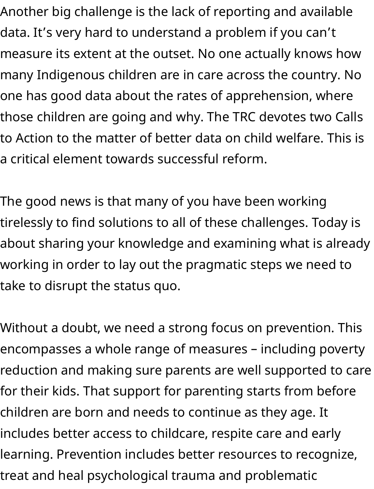Another big challenge is the lack of reporting and available data. It's very hard to understand a problem if you can't measure its extent at the outset. No one actually knows how many Indigenous children are in care across the country. No one has good data about the rates of apprehension, where those children are going and why. The TRC devotes two Calls to Action to the matter of better data on child welfare. This is a critical element towards successful reform.

The good news is that many of you have been working tirelessly to find solutions to all of these challenges. Today is about sharing your knowledge and examining what is already working in order to lay out the pragmatic steps we need to take to disrupt the status quo.

Without a doubt, we need a strong focus on prevention. This encompasses a whole range of measures – including poverty reduction and making sure parents are well supported to care for their kids. That support for parenting starts from before children are born and needs to continue as they age. It includes better access to childcare, respite care and early learning. Prevention includes better resources to recognize, treat and heal psychological trauma and problematic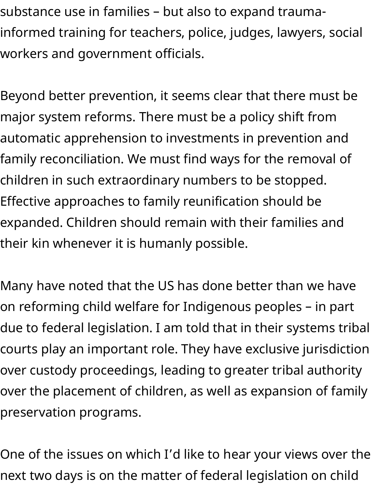substance use in families – but also to expand traumainformed training for teachers, police, judges, lawyers, social workers and government officials.

Beyond better prevention, it seems clear that there must be major system reforms. There must be a policy shift from automatic apprehension to investments in prevention and family reconciliation. We must find ways for the removal of children in such extraordinary numbers to be stopped. Effective approaches to family reunification should be expanded. Children should remain with their families and their kin whenever it is humanly possible.

Many have noted that the US has done better than we have on reforming child welfare for Indigenous peoples – in part due to federal legislation. I am told that in their systems tribal courts play an important role. They have exclusive jurisdiction over custody proceedings, leading to greater tribal authority over the placement of children, as well as expansion of family preservation programs.

One of the issues on which I'd like to hear your views over the next two days is on the matter of federal legislation on child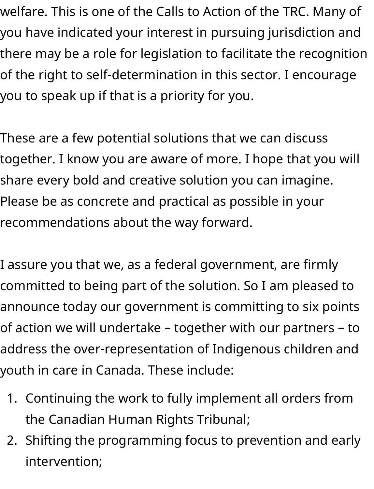welfare. This is one of the Calls to Action of the TRC. Many of you have indicated your interest in pursuing jurisdiction and there may be a role for legislation to facilitate the recognition of the right to self-determination in this sector. I encourage you to speak up if that is a priority for you.

These are a few potential solutions that we can discuss together. I know you are aware of more. I hope that you will share every bold and creative solution you can imagine. Please be as concrete and practical as possible in your recommendations about the way forward.

I assure you that we, as a federal government, are firmly committed to being part of the solution. So I am pleased to announce today our government is committing to six points of action we will undertake – together with our partners – to address the over-representation of Indigenous children and youth in care in Canada. These include:

- 1. Continuing the work to fully implement all orders from the Canadian Human Rights Tribunal;
- 2. Shifting the programming focus to prevention and early intervention;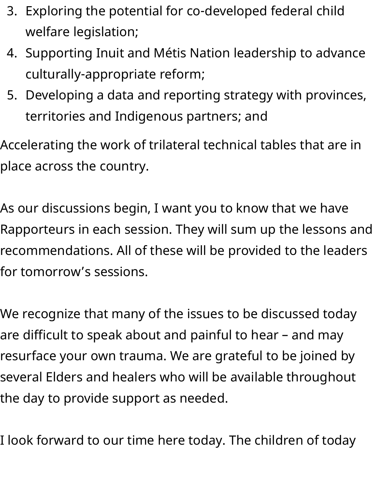- 3. Exploring the potential for co-developed federal child welfare legislation;
- 4. Supporting Inuit and Métis Nation leadership to advance culturally-appropriate reform;
- 5. Developing a data and reporting strategy with provinces, territories and Indigenous partners; and

Accelerating the work of trilateral technical tables that are in place across the country.

As our discussions begin, I want you to know that we have Rapporteurs in each session. They will sum up the lessons and recommendations. All of these will be provided to the leaders for tomorrow's sessions.

We recognize that many of the issues to be discussed today are difficult to speak about and painful to hear – and may resurface your own trauma. We are grateful to be joined by several Elders and healers who will be available throughout the day to provide support as needed.

I look forward to our time here today. The children of today